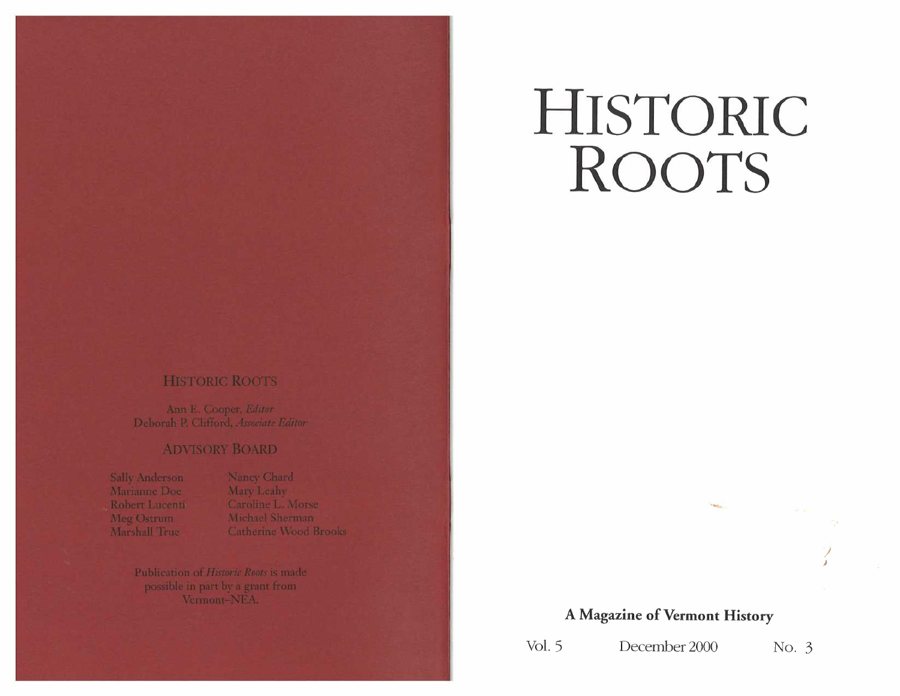# **HISTORIC ROOTS**

## **HISTORIC ROOTS**

Ann E. Cooper, Editor Deborah P. Clifford, Associate Editor

### **ADVISORY BOARD**

Sally Anderson Marianne Doe Robert Lucenti Meg Ostrum Marshall True

Nancy Chard Mary Leahy Caroline L. Morse Michael Sherman **Catherine Wood Brooks** 

Publication of Historic Roots is made possible in part by a grant from Vermont-NEA.

## **A Magazine of Vermont History**

*J )* 

Vol. 5 December 2000 No. 3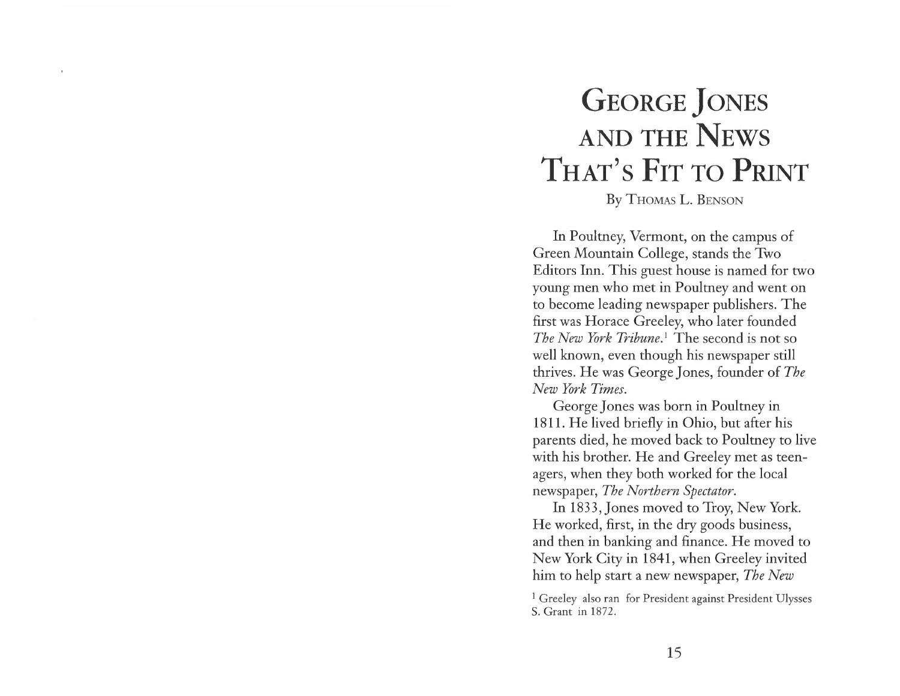## **GEORGE** *]ONES*  **AND THE NEWS THAT'S FIT TO PRINT**

## By THOMAS L. BENSON

In Poultney, Vermont, on the campus of Green Mountain College, stands the Two Editors Inn. This guest house is named for two young men who met in Poultney and went on to become leading newspaper publishers. The first was Horace Greeley, who later founded *The New York Tribune. <sup>1</sup>*The second is not so well known, even though his newspaper still thrives. He was George Jones, founder of *The New York Times.* 

George Jones was born in Poultney in 1811. He lived briefly in Ohio, but after his parents died, he moved back to Poultney to live with his brother. He and Greeley met as teenagers, when they both worked for the local newspaper, *The Northern Spectator.* 

In 1833, Jones moved to Troy, New York. He worked, first, in the dry goods business, and then in banking and finance. He moved to New York City in 1841, when Greeley invited him to help start a new newspaper, *The New* 

<sup>1</sup> Greeley also ran for President against President Ulysses S. Grant in 1872.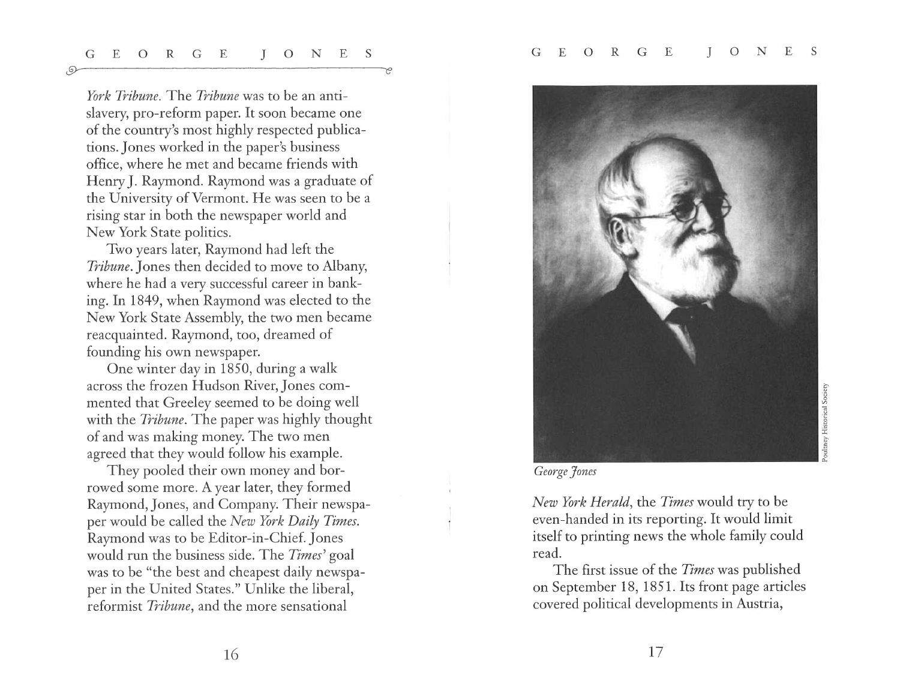G E O R G E ] 0 N E S G E O R G E J O N E S

 $\odot$ 

*York Tribune.* The *Tribune* was to be an antislavery, pro-reform paper. It soon became one of the country's most highly respected publications.Jones worked in the paper's business office, where he met and became friends with Henry J. Raymond. Raymond was a graduate of the University of Vermont. He was seen to be a rising star in both the newspaper world and New York State politics.

Two years later, Raymond had left the *Tribune.* Jones then decided to move to Albany, where he had a very successful career in banking. In 1849, when Raymond was elected to the New York State Assembly, the two men became reacquainted. Raymond, too, dreamed of founding his own newspaper.

One winter day in 1850, during a walk across the frozen Hudson River,Jones commented that Greeley seemed to be doing well with the *Tribune*. The paper was highly thought of and was making money. The two men agreed that they would follow his example.

They pooled their own money and borrowed some more. A year later, they formed Raymond, Jones, and Company. Their newspaper would be called the *New York Daily Times.*  Raymond was to be Editor-in-Chief. Jones would run the business side. The *Times'* goal was to be "the best and cheapest daily newspaper in the United States." Unlike the liberal, reformist *Tribune,* and the more sensational



*George Jones* 

*New York Herald,* the *Times* would try to be even-handed in its reporting. It would limit itself to printing news the whole family could read.

The first issue of the *Times* was published on September 18, 1851. Its front page articles covered political developments in Austria,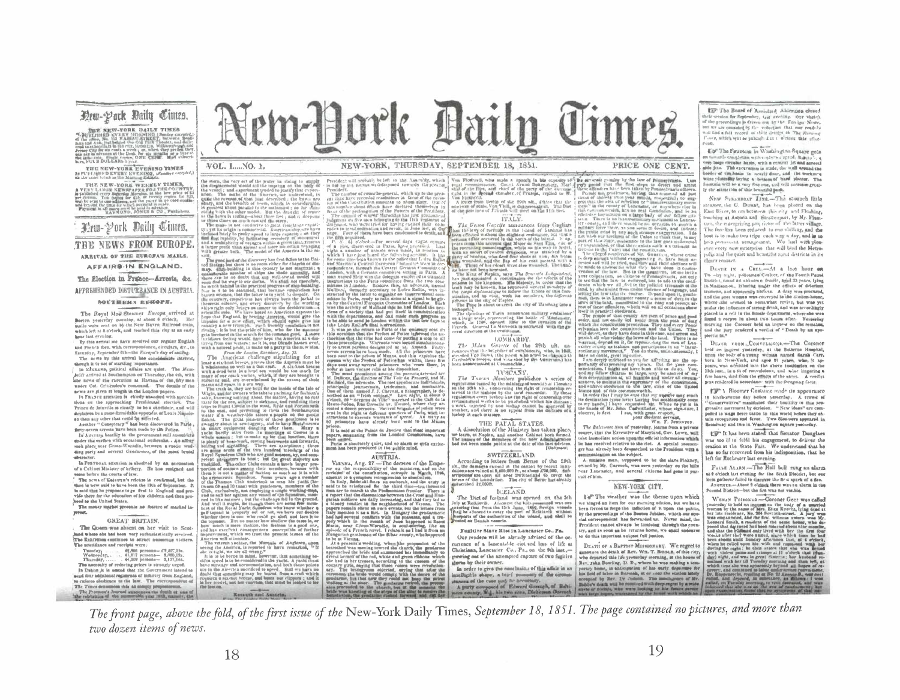## Drw-Park Baily Cimes.

**NEW-YORK DAILY TIMES** 

THE NEW-YORK EVENING TIMES 28 PU'T LITTLE DEVERY EVENING, incoming en

THE NEW-YORK WEEKLY TIMES, TERE AND REPORT OF THE CONSTRUCTION OF THE RESIDENCE OF A STATE OF THE CONTROL CONTROL CONTROL CONTROL CONTROL CONTROL CONTROL CONTROL CONTROL CONTROL CONTROL CONTROL CONTROL CONTROL CONTROL CONTROL CONTROL CONTROL CONTROL For a state, the pair of the pair of the state of the state of the state of the state of the state of the state of the state of the state of the state of the state of the state of the state of the state of the state of th

Prw-Pork Daily Cintes.

THE NEWS FROM EUROPE ARRIVAL OF THE EUROPA'S MAILS.

AFFAIRS IN ENGLAND.

The Election in France-Arrests, &c. APPREHENDED DISTURBANCE IN AUSTRIA

#### SOUTHERN EDHOPH.

The Revel Mail Steamer Europe arrived at Boston yesterday morning, at about 6 o'clock. Her hails wels sont on by the New Haven Railroad train, which left at 8 o'clock, and reached this city at an early hour last evening.

By this arrival we have revelved our regular English and French files, with correspondence, circulars, &c., to Easterly, Egenence of the Europa's day of satisfag. The news by this arrival has considerable interest.

shough it is not of startling importance. In Efox.ess, political affairs are quiet. The Hunt heldt arrived at Southampton out Thursday, the 4th, with abe news of the execution at Havana of the fifty men rester and, one overlained by this attention of their state of the state of the state of the state of the state of the state of the state of the state of the state of the state of the state of the state of the state of th under Col. Criticades's command. The details of the news are given at length in the London papers.<br>In Faurez attention in chiefly absorbed with specula

tions on the apprecching Presidental election. The some on the spinwasses crosses were and will be prince to be<br>invite in the state of the scheme of the second state of the scheme of<br>states of the state of the second by fillected.

Asother "Conspiracy" has been discovered in Paris, In Australy headily to the government still ansembles moler the surface with occasional outbreaks. . An affing ding party and several Gendarmer, of the most brutal

In Pentronal attention is absolved by an accusation of a Cableet Minlater of bribery. He has resigned and

The news of Enteres's release in confirmed, her the hoe is now said to have been the 13th of September. B. to said that he proposes to go first to England and provide there for the ofucation of his children and then pro lored to the United States.

The money market presents no feature of marked inpyrage.

#### **GREAT BRITAIN**

The Queen was absent on her visit to Scotand where she had been very enthusiastically revolved. The Enhiltens continues to ettract numerous viciters The attendance and receipts were:

as are<br>consider an everyone with  $\mathcal{L}^{2}_{1,0}$  (Tanday)  $\cdots$ , (1986 persons— $\mathcal{L}^{2}_{1,0}$ <br>(Tanday)  $\cdots$ , (1,2)<br>(1,2) personalism  $\mathcal{L}^{1/2}_{1,0}$  (1,1)<br>Thus accessivy of reducing prices is strongly urged.<br>Thus nece In Dublin it is smeed that the Government intend to nead first additional regaments of infantry from England,<br>to culoren sholdenes to the law. The recrespondent of

The Times denounces this an aimply prope The Presence's Journal autosinces the douth at une of<br>a reletation of the numerable year 1913, namely, the New-Pork Daily Times.

VOL. L.... NO. 1.

Will gravity bull. The model of the American is the fit<br>single point of the spectrum bull, the model of the fit<br>single point of the spectrum of the spectrum of the state of the state<br>in the state of the spectrum of the sp

in<br>the state of the second state in the second state in the second state<br> $\alpha$  is the second state of the state of the state of<br>simple . The state of the state of the state of the state<br>state in the state of the state of t

#### NEW-YORK, THURSDAY, SEPTEMBER 18, 1851.

The stern, the very set of the years in rating to sample the stern, the very set of the years in rating to the big of the sterned in and approximate type<br>of the very set of a positive control of the sterned in the sterned

prison.<br>It is said at the Pulais de Jactice that steat important<br>papers, smanning from the London Commution, have<br>been assessingly quier, and so alomm or eyen contained<br>ment has been preduced in the public mind.

#### AUSTRJA.

Vannu, Ang. 27-The decrees of the Empe-

 $\sqrt{100\,\mathrm{Mpc}}$  and the results of the European of the European of the results results and on the results of the constraints of the complete results of the results of the complete results of the line and the state of the

The<br>space results and the Bihar county, was suppressed by be at Vienna, and the<br> $\mathbb{R}^n$  is a pressured weight proposed of the best<br>velocid via merity (over the chiefle) the genderness between the chief<br> $\mathbb{R}^n$  is a leide was kneeiing at the strps of the altar to resulve

SWITZERLAND.

ICELAND. When Dict of Euclidate was prened on the Sth July at Reihierik. Amongst the list presented was one present of the list presented was one presented was the third June 1986, present present present present present present of

Fugitive Stave Ried in Lancaster Co., Pa.

Our readers will be already advised of the oc-

turrence of a lanicatable riot and loss of life at

Christians, Lancaster, Co., Pa., on, the 9th inst.-

grewing out of the attempted capture of two fugitive

durns by their owner.

Inter-Path Adiabation of the Alimitry has taken place,<br>where leaves a state of the Alimitry has taken place,<br>where it says to a small similar beat finited. The names of the needs political to the one Alimitiation<br>had not The Baltissore Sien of yesterday, learne from a private orce, that the Executive of Maryland, Gov. Lowg, will take immediate action upon the official information which<br>he has received relative to the riot. A aposial neonenger has already been desmatched to the Prosident with a eminunleation on the subject.<br>A mainte man, vopposed to be the slave Pinkney, The Machine of the Section of the CPL (ACC) and the Section of the Section of the CPL (ACC) is the section of the CPL (ACC) of the CPL (ACC) of the Machine of the CPL (ACC) (ACC) is the section of the property of the CPL (

owned by Mr. Carwook, was seen vesterday on the hill vear Lancaster, and several citizens had gone in purauit of him.

#### NEW-YORK CITY.

PRICE ONE CENT.

I's" The weather was the theme upon which we hinged an item for our morning edition, but we have<br>been forced to forge the infliction of it upon the pultie,<br>by the preceedings of the Bestess Jubilee, which our special carrespondent has forwarded us. Never mind, the Erceldent cannot always be lionluing through the coundo this important aubport full justice.

DEATH OF A BAPTIOT MISSIONARY. We regret to unsearce the death of Rev. Ws. T. Binnan, of this city, who departed this life protectory morning, at the hosses of Rev. John Dowling, D. D., where he was making a tem-In order to give the case lands, of this affair in an accept to the case of the set of the control of the company of the coreap base, in anticipation of the case of the case of the case of the case of the case of the case

**LET The Board of Assistant Aldermen closed** their vession for September, Last evening. Our whete's<br>of the proceedings in driven out for the Fen ign News, but we are considered by the reduction that our results of but we are considered by the reduction that our results of with the state of the process of the constant of the constant of the state of the state of the state of

For The Fountain in Washington Square gets on turnards constitution at a variant second interaction of the state of the state of the state of the state of the state of the state of the form of the state of the state of the state of the state of the state of the sta were visitedly laying a beams of hard playing. The<br>formata will be a very fire one, and will intense great-<br>Iy the attraction of this beautiful pask.

NEW STRANDORT LINE-The stounch little camer, the C. Dunant, has been placed on the East River, to om between the city and Flushing, tou-hing at Astona and Strattenputt, by Mr. Fiamtart, the enterprising projector of the latter village. boat is to make two trips cach way a day, and is to hold premissions arrangement. We had with pleastirt every new enterprise that will bind the Metropolys and the quiet and beautiful rund districts in its closer costaet.

DESTR IN A CREL-At a last hour on Tu-sky night, policanan Coalter, of the Fourth Patrol.<br>District, found an unknown Guarde, again 25 years, lying. in Madianmaz., Inharitar under the effects of deterious trements, and apparently lifeties. A dray was procured, and the poor woman was conveyed to the Station-house, where the premed to somewhat revive, but was yet under the influence of strong drink, and was accordingly slaced in a cvli in the fitnule department, where she was paces is a corpor in about two house after. Vesselay member of the conservation of the control of the control of the control of the control of the party readered a verified of  $^{11}$  Douth by an apopiectic fit.<sup>1</sup>

**DEATH FROM CONVELLIONS.-The Coroner** held an inquest yesterday, at the Bollevne Hospital, upon the body of a young weman named Sarah Carr, num tec wore on a young weaken name. See the point in New-York, and aged 21 years, who, it appears, was abilitated into the above insultantion on the 15th leads in the formulation control for the same. A verific form was rendered in accordance with the foregoing facts

FF' \ Bloomer Costuire mide its appearance Sixth-avenue day before yesterday. A rrowd of "Conservatives" manifested their bostility to this new gersalve morement by derivion. "New Ideas" are com-<br>policd to wage flerce battle in this world before they obtain recognition and favor. Two Sloaners appeared in Broadway and two in Washington square yesterday.

US" It has been stated that Senator Douglass was too ill to fulfil his engagement, to deliver the oration at the State Fair. We understand that he has so far recovered from his indisposition, that he left for Rochester last evening.

FALLE ALARM-The Hall bell rang an alarm a # o'clock last evening for the Sixth Diotelet, but our item gatherer failed to discover the first spark of a fire. ASOTHER-About 2 o'clock there was an alarm in the Scool District-but the first was not vistable.

WOMAN POISONED.-Coroner Geer was called 

The front page, above the fold, of the first issue of the New-York Daily Times, September 18, 1851. The page contained no pictures, and more than two dozen items of news.

Kessuch non Austria.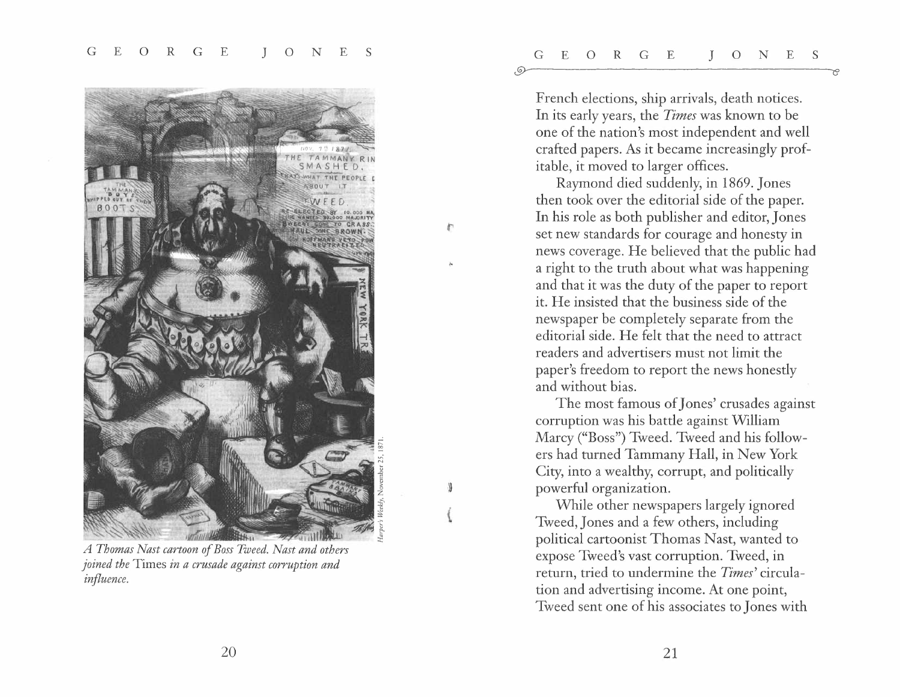

*A Thomas Nast cartoon of Boss Tweed. Nast and others joined the* Times *in a crusade against corruption and influence.* 

French elections, ship arrivals, death notices. In its early years, the *Times* was known to be one of the nation's most independent and well crafted papers. As it became increasingly profitable, it moved to larger offices.

Raymond died suddenly, in 1869. Jones then took over the editorial side of the paper. In his role as both publisher and editor, Jones set new standards for courage and honesty in news coverage. He believed that the public had a right to the truth about what was happening and that it was the duty of the paper to report it. He insisted that the business side of the newspaper be completely separate from the editorial side. He felt that the need to attract readers and advertisers must not limit the paper's freedom to report the news honestly and without bias.

,.

The most famous of Jones' crusades against corruption was his battle against William Marcy ("Boss") Tweed. Tweed and his followers had turned Tammany Hall, in New York City, into a wealthy, corrupt, and politically powerful organization.

While other newspapers largely ignored Tweed,Jones and a few others, including political cartoonist Thomas Nast, wanted to expose Tweed's vast corruption. Tweed, in return, tried to undermine the *Times'* circulation and advertising income. At one point, Tweed sent one of his associates to Jones with